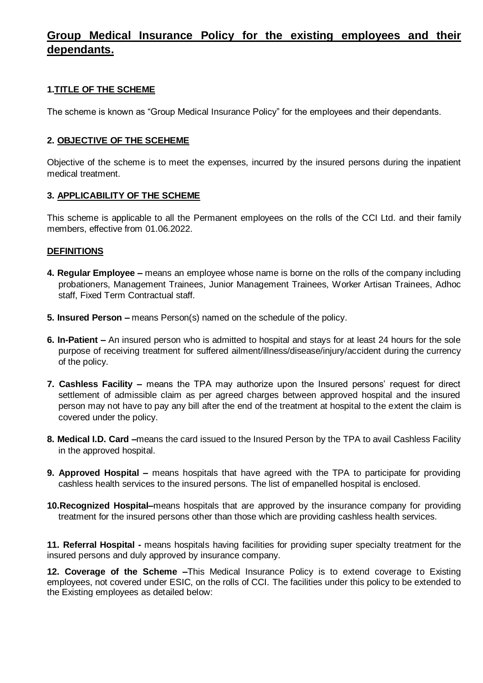# **Group Medical Insurance Policy for the existing employees and their dependants.**

### **1.TITLE OF THE SCHEME**

The scheme is known as "Group Medical Insurance Policy" for the employees and their dependants.

#### **2. OBJECTIVE OF THE SCEHEME**

Objective of the scheme is to meet the expenses, incurred by the insured persons during the inpatient medical treatment.

#### **3. APPLICABILITY OF THE SCHEME**

This scheme is applicable to all the Permanent employees on the rolls of the CCI Ltd. and their family members, effective from 01.06.2022.

#### **DEFINITIONS**

- **4. Regular Employee –** means an employee whose name is borne on the rolls of the company including probationers, Management Trainees, Junior Management Trainees, Worker Artisan Trainees, Adhoc staff, Fixed Term Contractual staff.
- **5. Insured Person –** means Person(s) named on the schedule of the policy.
- **6. In-Patient –** An insured person who is admitted to hospital and stays for at least 24 hours for the sole purpose of receiving treatment for suffered ailment/illness/disease/injury/accident during the currency of the policy.
- **7. Cashless Facility –** means the TPA may authorize upon the Insured persons' request for direct settlement of admissible claim as per agreed charges between approved hospital and the insured person may not have to pay any bill after the end of the treatment at hospital to the extent the claim is covered under the policy.
- **8. Medical I.D. Card –**means the card issued to the Insured Person by the TPA to avail Cashless Facility in the approved hospital.
- **9. Approved Hospital –** means hospitals that have agreed with the TPA to participate for providing cashless health services to the insured persons. The list of empanelled hospital is enclosed.
- **10.Recognized Hospital–**means hospitals that are approved by the insurance company for providing treatment for the insured persons other than those which are providing cashless health services.

**11. Referral Hospital -** means hospitals having facilities for providing super specialty treatment for the insured persons and duly approved by insurance company.

**12. Coverage of the Scheme –**This Medical Insurance Policy is to extend coverage to Existing employees, not covered under ESIC, on the rolls of CCI. The facilities under this policy to be extended to the Existing employees as detailed below: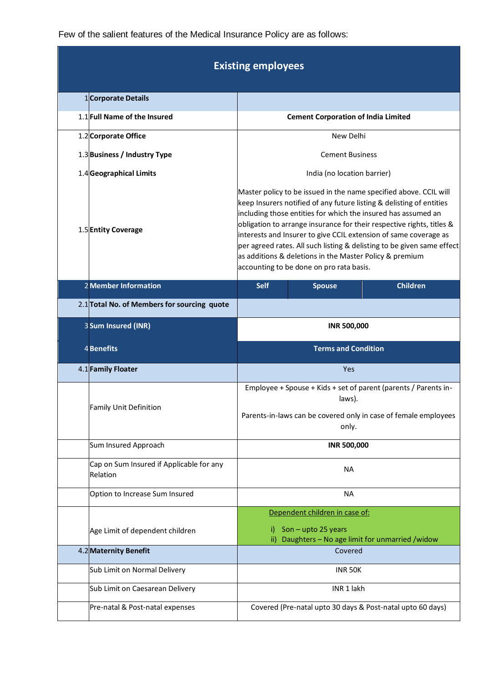Few of the salient features of the Medical Insurance Policy are as follows:

| <b>Existing employees</b>                            |                                                                                                                                                                                                                                                                                                                                                                                                                                                                                                                                          |  |  |  |
|------------------------------------------------------|------------------------------------------------------------------------------------------------------------------------------------------------------------------------------------------------------------------------------------------------------------------------------------------------------------------------------------------------------------------------------------------------------------------------------------------------------------------------------------------------------------------------------------------|--|--|--|
| 1 Corporate Details                                  |                                                                                                                                                                                                                                                                                                                                                                                                                                                                                                                                          |  |  |  |
| 1.1 Full Name of the Insured                         | <b>Cement Corporation of India Limited</b>                                                                                                                                                                                                                                                                                                                                                                                                                                                                                               |  |  |  |
| 1.2 Corporate Office                                 | New Delhi                                                                                                                                                                                                                                                                                                                                                                                                                                                                                                                                |  |  |  |
| 1.3 Business / Industry Type                         | <b>Cement Business</b>                                                                                                                                                                                                                                                                                                                                                                                                                                                                                                                   |  |  |  |
| 1.4 Geographical Limits                              | India (no location barrier)                                                                                                                                                                                                                                                                                                                                                                                                                                                                                                              |  |  |  |
| 1.5 Entity Coverage                                  | Master policy to be issued in the name specified above. CCIL will<br>keep Insurers notified of any future listing & delisting of entities<br>including those entities for which the insured has assumed an<br>obligation to arrange insurance for their respective rights, titles &<br>interests and Insurer to give CCIL extension of same coverage as<br>per agreed rates. All such listing & delisting to be given same effect<br>as additions & deletions in the Master Policy & premium<br>accounting to be done on pro rata basis. |  |  |  |
| 2 Member Information                                 | <b>Children</b><br><b>Self</b><br><b>Spouse</b>                                                                                                                                                                                                                                                                                                                                                                                                                                                                                          |  |  |  |
| 2.1 Total No. of Members for sourcing quote          |                                                                                                                                                                                                                                                                                                                                                                                                                                                                                                                                          |  |  |  |
| 3Sum Insured (INR)                                   | <b>INR 500,000</b>                                                                                                                                                                                                                                                                                                                                                                                                                                                                                                                       |  |  |  |
|                                                      |                                                                                                                                                                                                                                                                                                                                                                                                                                                                                                                                          |  |  |  |
| 4Benefits                                            | <b>Terms and Condition</b>                                                                                                                                                                                                                                                                                                                                                                                                                                                                                                               |  |  |  |
| 4.1 Family Floater                                   | <b>Yes</b>                                                                                                                                                                                                                                                                                                                                                                                                                                                                                                                               |  |  |  |
| <b>Family Unit Definition</b>                        | Employee + Spouse + Kids + set of parent (parents / Parents in-<br>laws).<br>Parents-in-laws can be covered only in case of female employees<br>only.                                                                                                                                                                                                                                                                                                                                                                                    |  |  |  |
| Sum Insured Approach                                 | <b>INR 500,000</b>                                                                                                                                                                                                                                                                                                                                                                                                                                                                                                                       |  |  |  |
| Cap on Sum Insured if Applicable for any<br>Relation | <b>NA</b>                                                                                                                                                                                                                                                                                                                                                                                                                                                                                                                                |  |  |  |
| Option to Increase Sum Insured                       | <b>NA</b>                                                                                                                                                                                                                                                                                                                                                                                                                                                                                                                                |  |  |  |
|                                                      | Dependent children in case of:                                                                                                                                                                                                                                                                                                                                                                                                                                                                                                           |  |  |  |
| Age Limit of dependent children                      | Son - upto 25 years<br>i).<br>Daughters - No age limit for unmarried /widow<br>ii)                                                                                                                                                                                                                                                                                                                                                                                                                                                       |  |  |  |
| 4.2 Maternity Benefit                                | Covered                                                                                                                                                                                                                                                                                                                                                                                                                                                                                                                                  |  |  |  |
| Sub Limit on Normal Delivery                         | <b>INR 50K</b>                                                                                                                                                                                                                                                                                                                                                                                                                                                                                                                           |  |  |  |
| Sub Limit on Caesarean Delivery                      | INR 1 lakh                                                                                                                                                                                                                                                                                                                                                                                                                                                                                                                               |  |  |  |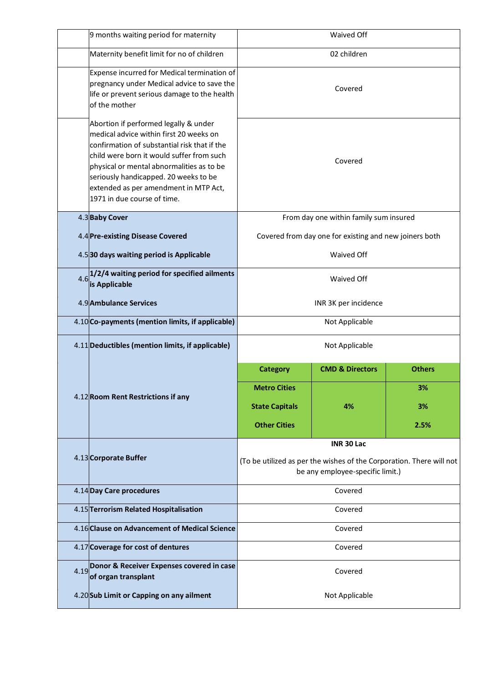|  | 9 months waiting period for maternity                                                                                                                                                                                                                                                                                                       | Waived Off                                                                                               |                            |               |
|--|---------------------------------------------------------------------------------------------------------------------------------------------------------------------------------------------------------------------------------------------------------------------------------------------------------------------------------------------|----------------------------------------------------------------------------------------------------------|----------------------------|---------------|
|  | Maternity benefit limit for no of children                                                                                                                                                                                                                                                                                                  | 02 children                                                                                              |                            |               |
|  | Expense incurred for Medical termination of<br>pregnancy under Medical advice to save the<br>life or prevent serious damage to the health<br>of the mother                                                                                                                                                                                  | Covered                                                                                                  |                            |               |
|  | Abortion if performed legally & under<br>medical advice within first 20 weeks on<br>confirmation of substantial risk that if the<br>child were born it would suffer from such<br>physical or mental abnormalities as to be<br>seriously handicapped. 20 weeks to be<br>extended as per amendment in MTP Act,<br>1971 in due course of time. |                                                                                                          | Covered                    |               |
|  | 4.3 Baby Cover                                                                                                                                                                                                                                                                                                                              | From day one within family sum insured                                                                   |                            |               |
|  | 4.4 Pre-existing Disease Covered                                                                                                                                                                                                                                                                                                            | Covered from day one for existing and new joiners both                                                   |                            |               |
|  | 4.530 days waiting period is Applicable                                                                                                                                                                                                                                                                                                     | Waived Off                                                                                               |                            |               |
|  | $4.6$ , 1/2/4 waiting period for specified ailments<br>is Applicable                                                                                                                                                                                                                                                                        | <b>Waived Off</b>                                                                                        |                            |               |
|  | 4.9 Ambulance Services                                                                                                                                                                                                                                                                                                                      | INR 3K per incidence                                                                                     |                            |               |
|  | 4.10 Co-payments (mention limits, if applicable)                                                                                                                                                                                                                                                                                            | Not Applicable                                                                                           |                            |               |
|  | 4.11 Deductibles (mention limits, if applicable)                                                                                                                                                                                                                                                                                            | Not Applicable                                                                                           |                            |               |
|  | 4.12 Room Rent Restrictions if any                                                                                                                                                                                                                                                                                                          | <b>Category</b>                                                                                          | <b>CMD &amp; Directors</b> | <b>Others</b> |
|  |                                                                                                                                                                                                                                                                                                                                             | <b>Metro Cities</b>                                                                                      | 4%                         | 3%            |
|  |                                                                                                                                                                                                                                                                                                                                             | <b>State Capitals</b>                                                                                    |                            | 3%            |
|  |                                                                                                                                                                                                                                                                                                                                             | <b>Other Cities</b>                                                                                      |                            | 2.5%          |
|  | 4.13 Corporate Buffer                                                                                                                                                                                                                                                                                                                       | INR 30 Lac                                                                                               |                            |               |
|  |                                                                                                                                                                                                                                                                                                                                             | (To be utilized as per the wishes of the Corporation. There will not<br>be any employee-specific limit.) |                            |               |
|  | 4.14 Day Care procedures                                                                                                                                                                                                                                                                                                                    | Covered                                                                                                  |                            |               |
|  | 4.15 Terrorism Related Hospitalisation                                                                                                                                                                                                                                                                                                      | Covered                                                                                                  |                            |               |
|  | 4.16 Clause on Advancement of Medical Science                                                                                                                                                                                                                                                                                               | Covered                                                                                                  |                            |               |
|  | 4.17 Coverage for cost of dentures                                                                                                                                                                                                                                                                                                          | Covered                                                                                                  |                            |               |
|  | Donor & Receiver Expenses covered in case<br>of organ transplant                                                                                                                                                                                                                                                                            | Covered                                                                                                  |                            |               |
|  | 4.20 Sub Limit or Capping on any ailment                                                                                                                                                                                                                                                                                                    | Not Applicable                                                                                           |                            |               |